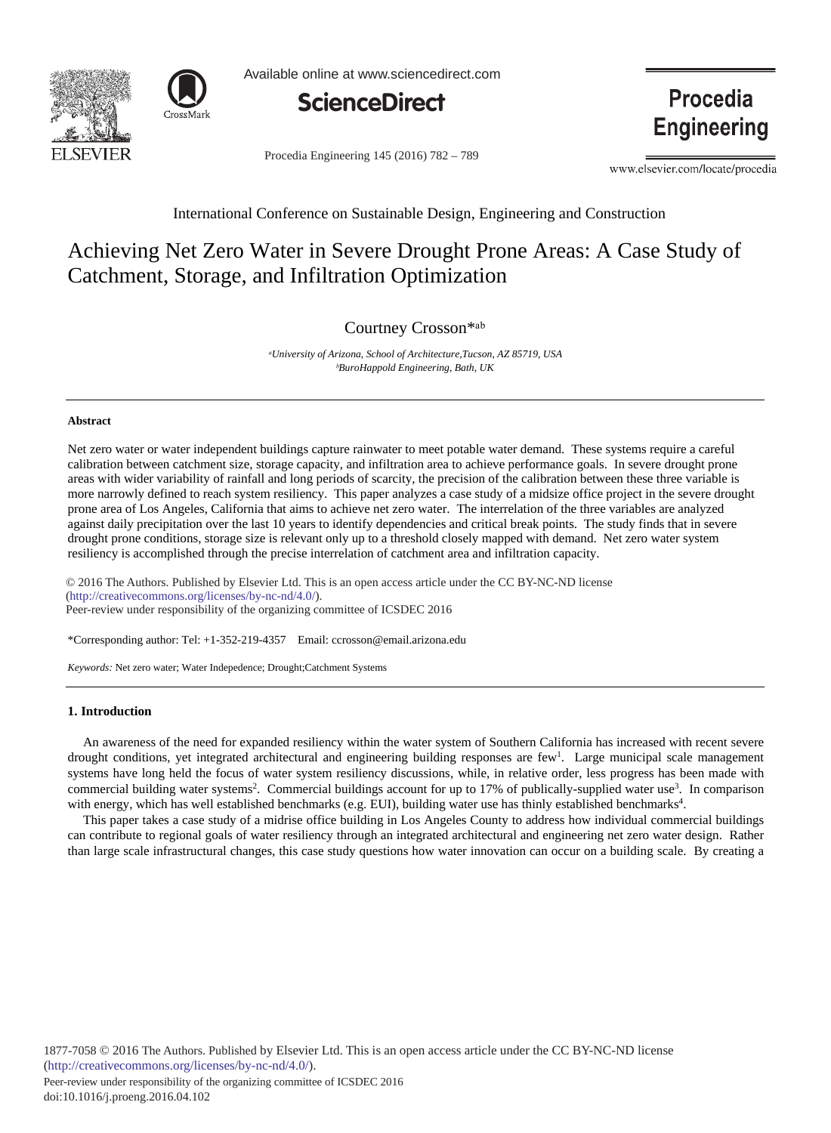



Available online at www.sciencedirect.com



Procedia Engineering 145 (2016) 782 - 789

Procedia **Engineering** 

www.elsevier.com/locate/procedia

# International Conference on Sustainable Design, Engineering and Construction

# Achieving Net Zero Water in Severe Drought Prone Areas: A Case Study of Catchment, Storage, and Infiltration Optimization

# Courtney Crosson<sup>\*ab</sup>

*ᵃUniversity of Arizona, School of Architecture,Tucson, AZ 85719, USA ᵇBuroHappold Engineering, Bath, UK*

## **Abstract**

Net zero water or water independent buildings capture rainwater to meet potable water demand. These systems require a careful calibration between catchment size, storage capacity, and infiltration area to achieve performance goals. In severe drought prone areas with wider variability of rainfall and long periods of scarcity, the precision of the calibration between these three variable is more narrowly defined to reach system resiliency. This paper analyzes a case study of a midsize office project in the severe drought prone area of Los Angeles, California that aims to achieve net zero water. The interrelation of the three variables are analyzed against daily precipitation over the last 10 years to identify dependencies and critical break points. The study finds that in severe drought prone conditions, storage size is relevant only up to a threshold closely mapped with demand. Net zero water system resiliency is accomplished through the precise interrelation of catchment area and infiltration capacity.

© 2015 The Authors. Published by Elsevier Ltd. © 2016 The Authors. Published by Elsevier Ltd. This is an open access article under the CC BY-NC-ND license (http://creativecommons.org/licenses/by-nc-nd/4.0/). Peer-review under responsibility of the organizing committee of ICSDEC 2016

\*Corresponding author: Tel: +1-352-219-4357 Email: ccrosson@email.arizona.edu

*Keywords:* Net zero water; Water Indepedence; Drought;Catchment Systems

# **1. Introduction**

An awareness of the need for expanded resiliency within the water system of Southern California has increased with recent severe drought conditions, yet integrated architectural and engineering building responses are few<sup>1</sup>. Large municipal scale management systems have long held the focus of water system resiliency discussions, while, in relative order, less progress has been made with commercial building water systems<sup>2</sup>. Commercial buildings account for up to 17% of publically-supplied water use<sup>3</sup>. In comparison with energy, which has well established benchmarks (e.g. EUI), building water use has thinly established benchmarks<sup>4</sup>.

This paper takes a case study of a midrise office building in Los Angeles County to address how individual commercial buildings can contribute to regional goals of water resiliency through an integrated architectural and engineering net zero water design. Rather than large scale infrastructural changes, this case study questions how water innovation can occur on a building scale. By creating a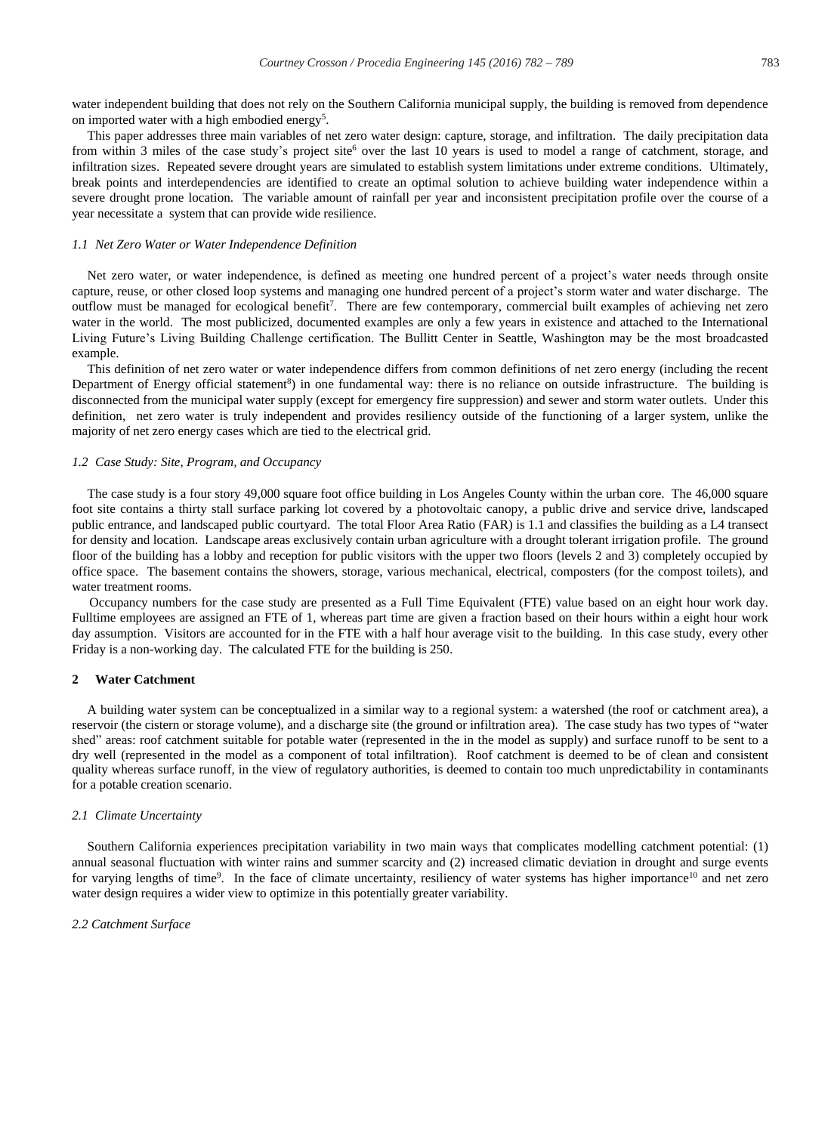water independent building that does not rely on the Southern California municipal supply, the building is removed from dependence on imported water with a high embodied energy<sup>5</sup>.

This paper addresses three main variables of net zero water design: capture, storage, and infiltration. The daily precipitation data from within 3 miles of the case study's project site<sup>6</sup> over the last 10 years is used to model a range of catchment, storage, and infiltration sizes. Repeated severe drought years are simulated to establish system limitations under extreme conditions. Ultimately, break points and interdependencies are identified to create an optimal solution to achieve building water independence within a severe drought prone location. The variable amount of rainfall per year and inconsistent precipitation profile over the course of a year necessitate a system that can provide wide resilience.

#### *1.1 Net Zero Water or Water Independence Definition*

Net zero water, or water independence, is defined as meeting one hundred percent of a project's water needs through onsite capture, reuse, or other closed loop systems and managing one hundred percent of a project's storm water and water discharge. The outflow must be managed for ecological benefit<sup>7</sup>. There are few contemporary, commercial built examples of achieving net zero water in the world. The most publicized, documented examples are only a few years in existence and attached to the International Living Future's Living Building Challenge certification. The Bullitt Center in Seattle, Washington may be the most broadcasted example.

This definition of net zero water or water independence differs from common definitions of net zero energy (including the recent Department of Energy official statement<sup>8</sup>) in one fundamental way: there is no reliance on outside infrastructure. The building is disconnected from the municipal water supply (except for emergency fire suppression) and sewer and storm water outlets. Under this definition, net zero water is truly independent and provides resiliency outside of the functioning of a larger system, unlike the majority of net zero energy cases which are tied to the electrical grid.

#### *1.2 Case Study: Site, Program, and Occupancy*

The case study is a four story 49,000 square foot office building in Los Angeles County within the urban core. The 46,000 square foot site contains a thirty stall surface parking lot covered by a photovoltaic canopy, a public drive and service drive, landscaped public entrance, and landscaped public courtyard. The total Floor Area Ratio (FAR) is 1.1 and classifies the building as a L4 transect for density and location. Landscape areas exclusively contain urban agriculture with a drought tolerant irrigation profile. The ground floor of the building has a lobby and reception for public visitors with the upper two floors (levels 2 and 3) completely occupied by office space. The basement contains the showers, storage, various mechanical, electrical, composters (for the compost toilets), and water treatment rooms.

 Occupancy numbers for the case study are presented as a Full Time Equivalent (FTE) value based on an eight hour work day. Fulltime employees are assigned an FTE of 1, whereas part time are given a fraction based on their hours within a eight hour work day assumption. Visitors are accounted for in the FTE with a half hour average visit to the building. In this case study, every other Friday is a non-working day. The calculated FTE for the building is 250.

#### **2 Water Catchment**

A building water system can be conceptualized in a similar way to a regional system: a watershed (the roof or catchment area), a reservoir (the cistern or storage volume), and a discharge site (the ground or infiltration area). The case study has two types of "water shed" areas: roof catchment suitable for potable water (represented in the in the model as supply) and surface runoff to be sent to a dry well (represented in the model as a component of total infiltration). Roof catchment is deemed to be of clean and consistent quality whereas surface runoff, in the view of regulatory authorities, is deemed to contain too much unpredictability in contaminants for a potable creation scenario.

#### *2.1 Climate Uncertainty*

Southern California experiences precipitation variability in two main ways that complicates modelling catchment potential: (1) annual seasonal fluctuation with winter rains and summer scarcity and (2) increased climatic deviation in drought and surge events for varying lengths of time<sup>9</sup>. In the face of climate uncertainty, resiliency of water systems has higher importance<sup>10</sup> and net zero water design requires a wider view to optimize in this potentially greater variability.

#### *2.2 Catchment Surface*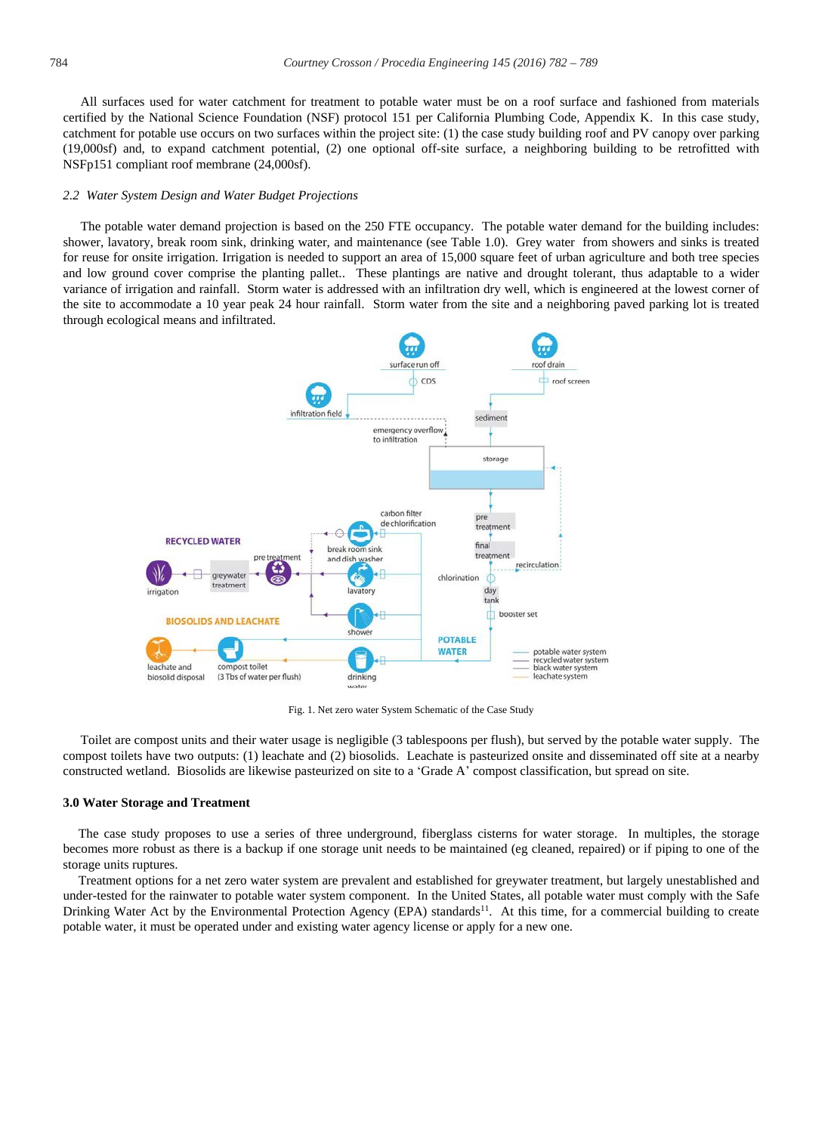All surfaces used for water catchment for treatment to potable water must be on a roof surface and fashioned from materials certified by the National Science Foundation (NSF) protocol 151 per California Plumbing Code, Appendix K. In this case study, catchment for potable use occurs on two surfaces within the project site: (1) the case study building roof and PV canopy over parking (19,000sf) and, to expand catchment potential, (2) one optional off-site surface, a neighboring building to be retrofitted with NSFp151 compliant roof membrane (24,000sf).

#### *2.2 Water System Design and Water Budget Projections*

The potable water demand projection is based on the 250 FTE occupancy. The potable water demand for the building includes: shower, lavatory, break room sink, drinking water, and maintenance (see Table 1.0). Grey water from showers and sinks is treated for reuse for onsite irrigation. Irrigation is needed to support an area of 15,000 square feet of urban agriculture and both tree species and low ground cover comprise the planting pallet.. These plantings are native and drought tolerant, thus adaptable to a wider variance of irrigation and rainfall. Storm water is addressed with an infiltration dry well, which is engineered at the lowest corner of the site to accommodate a 10 year peak 24 hour rainfall. Storm water from the site and a neighboring paved parking lot is treated through ecological means and infiltrated.



Fig. 1. Net zero water System Schematic of the Case Study

 Toilet are compost units and their water usage is negligible (3 tablespoons per flush), but served by the potable water supply. The compost toilets have two outputs: (1) leachate and (2) biosolids. Leachate is pasteurized onsite and disseminated off site at a nearby constructed wetland. Biosolids are likewise pasteurized on site to a 'Grade A' compost classification, but spread on site.

#### **3.0 Water Storage and Treatment**

The case study proposes to use a series of three underground, fiberglass cisterns for water storage. In multiples, the storage becomes more robust as there is a backup if one storage unit needs to be maintained (eg cleaned, repaired) or if piping to one of the storage units ruptures.

Treatment options for a net zero water system are prevalent and established for greywater treatment, but largely unestablished and under-tested for the rainwater to potable water system component. In the United States, all potable water must comply with the Safe Drinking Water Act by the Environmental Protection Agency (EPA) standards<sup>11</sup>. At this time, for a commercial building to create potable water, it must be operated under and existing water agency license or apply for a new one.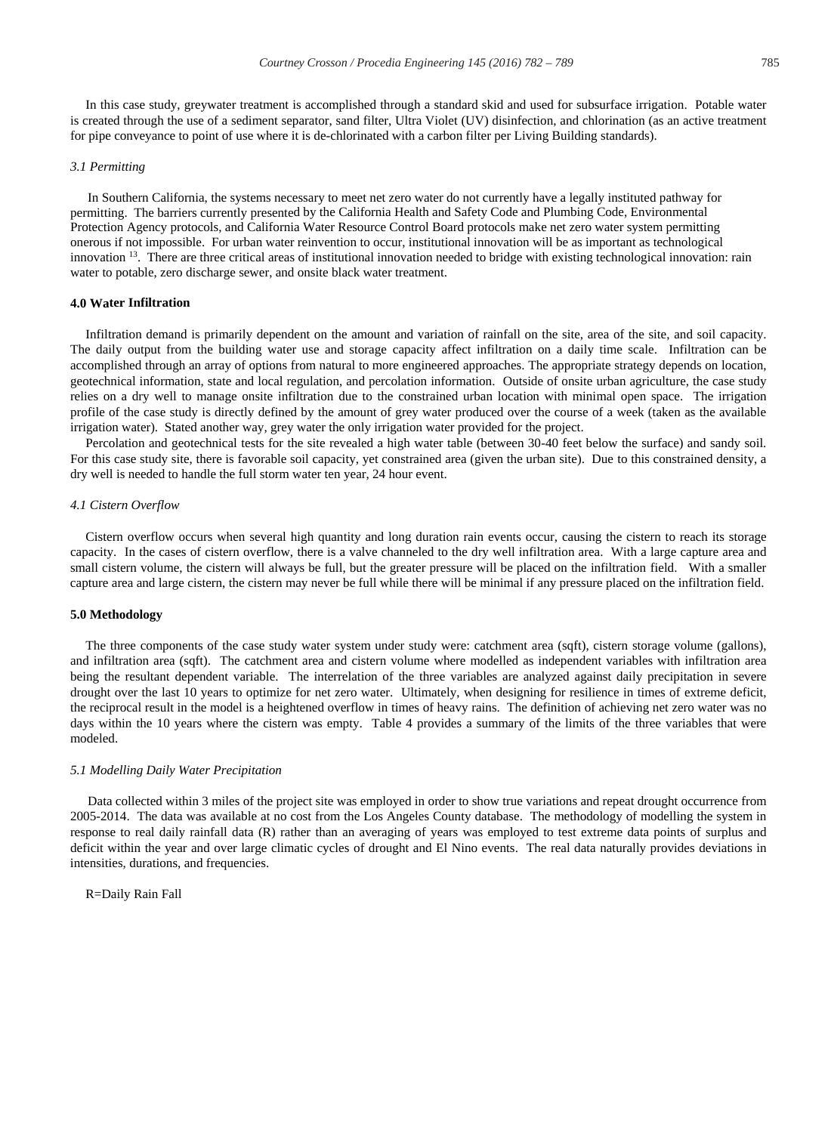In this case study, greywater treatment is accomplished through a standard skid and used for subsurface irrigation. Potable water is created through the use of a sediment separator, sand filter, Ultra Violet (UV) disinfection, and chlorination (as an active treatment for pipe conveyance to point of use where it is de-chlorinated with a carbon filter per Living Building standards).

### *3.1 Permitting*

In Southern California, the systems necessary to meet net zero water do not currently have a legally instituted pathway for permitting. The barriers currently presented by the California Health and Safety Code and Plumbing Code, Environmental Protection Agency protocols, and California Water Resource Control Board protocols make net zero water system permitting onerous if not impossible. For urban water reinvention to occur, institutional innovation will be as important as technological innovation <sup>13</sup>. There are three critical areas of institutional innovation needed to bridge with existing technological innovation: rain water to potable, zero discharge sewer, and onsite black water treatment.

#### **4.0 Water Infiltration**

Infiltration demand is primarily dependent on the amount and variation of rainfall on the site, area of the site, and soil capacity. The daily output from the building water use and storage capacity affect infiltration on a daily time scale. Infiltration can be accomplished through an array of options from natural to more engineered approaches. The appropriate strategy depends on location, geotechnical information, state and local regulation, and percolation information. Outside of onsite urban agriculture, the case study relies on a dry well to manage onsite infiltration due to the constrained urban location with minimal open space. The irrigation profile of the case study is directly defined by the amount of grey water produced over the course of a week (taken as the available irrigation water). Stated another way, grey water the only irrigation water provided for the project.

Percolation and geotechnical tests for the site revealed a high water table (between 30-40 feet below the surface) and sandy soil. For this case study site, there is favorable soil capacity, yet constrained area (given the urban site). Due to this constrained density, a dry well is needed to handle the full storm water ten year, 24 hour event.

## *4.1 Cistern Overflow*

Cistern overflow occurs when several high quantity and long duration rain events occur, causing the cistern to reach its storage capacity. In the cases of cistern overflow, there is a valve channeled to the dry well infiltration area. With a large capture area and small cistern volume, the cistern will always be full, but the greater pressure will be placed on the infiltration field. With a smaller capture area and large cistern, the cistern may never be full while there will be minimal if any pressure placed on the infiltration field.

#### **5.0 Methodology**

The three components of the case study water system under study were: catchment area (sqft), cistern storage volume (gallons), and infiltration area (sqft). The catchment area and cistern volume where modelled as independent variables with infiltration area being the resultant dependent variable. The interrelation of the three variables are analyzed against daily precipitation in severe drought over the last 10 years to optimize for net zero water. Ultimately, when designing for resilience in times of extreme deficit, the reciprocal result in the model is a heightened overflow in times of heavy rains. The definition of achieving net zero water was no days within the 10 years where the cistern was empty. Table 4 provides a summary of the limits of the three variables that were modeled.

#### *5.1 Modelling Daily Water Precipitation*

Data collected within 3 miles of the project site was employed in order to show true variations and repeat drought occurrence from 2005-2014. The data was available at no cost from the Los Angeles County database. The methodology of modelling the system in response to real daily rainfall data (R) rather than an averaging of years was employed to test extreme data points of surplus and deficit within the year and over large climatic cycles of drought and El Nino events. The real data naturally provides deviations in intensities, durations, and frequencies.

R=Daily Rain Fall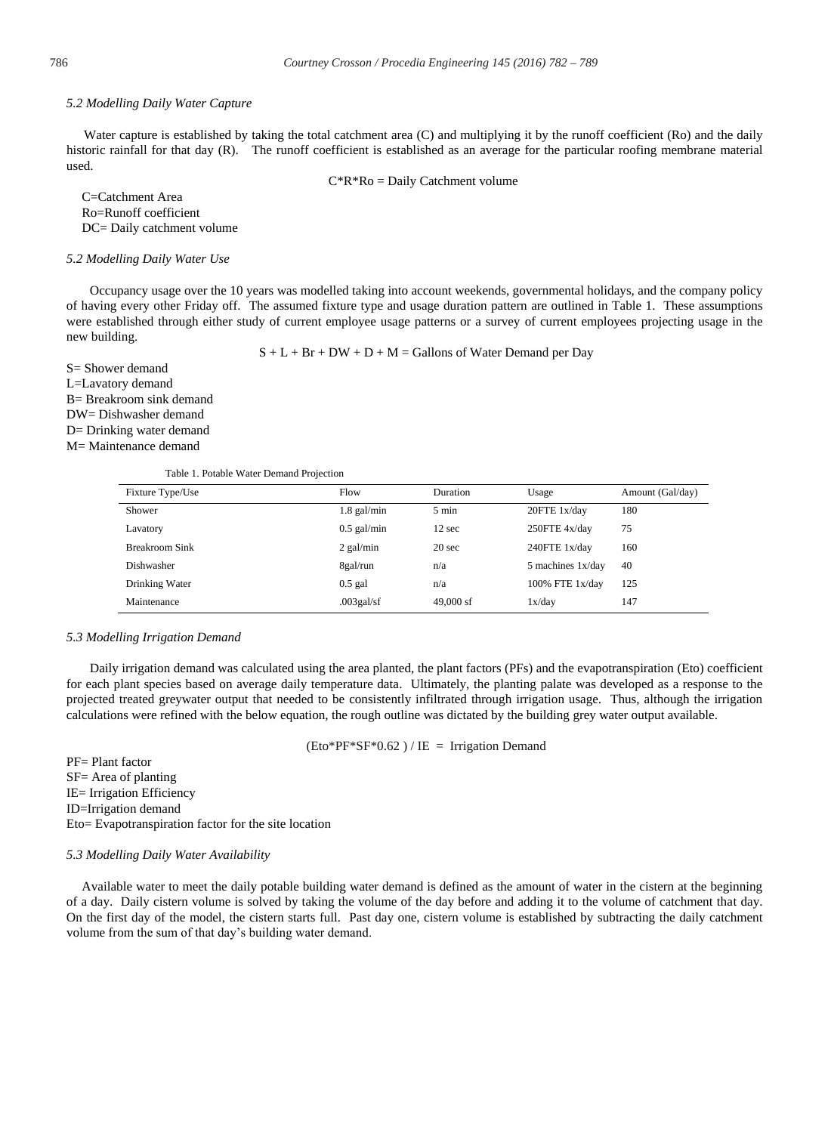#### *5.2 Modelling Daily Water Capture*

Water capture is established by taking the total catchment area (C) and multiplying it by the runoff coefficient (Ro) and the daily historic rainfall for that day (R). The runoff coefficient is established as an average for the particular roofing membrane material used.

 $C^*R^*Ro =$  Daily Catchment volume

C=Catchment Area Ro=Runoff coefficient DC= Daily catchment volume

#### *5.2 Modelling Daily Water Use*

Occupancy usage over the 10 years was modelled taking into account weekends, governmental holidays, and the company policy of having every other Friday off. The assumed fixture type and usage duration pattern are outlined in Table 1. These assumptions were established through either study of current employee usage patterns or a survey of current employees projecting usage in the new building.

 $S + L + Br + DW + D + M =$  Gallons of Water Demand per Day

S= Shower demand L=Lavatory demand B= Breakroom sink demand DW= Dishwasher demand D= Drinking water demand M= Maintenance demand

| Flow          | <b>Duration</b> | Usage                 | Amount (Gal/day) |
|---------------|-----------------|-----------------------|------------------|
| $1.8$ gal/min | $5 \text{ min}$ | 20FTE 1x/day          | 180              |
| $0.5$ gal/min | 12 sec          | 250FTE 4x/day         | 75               |
| $2$ gal/min   | 20 sec          | 240FTE 1x/day         | 160              |
| 8gal/run      | n/a             | $5$ machines $1x/day$ | 40               |
| $0.5$ gal     | n/a             | 100% FTE 1x/day       | 125              |
| $.003$ gal/sf | $49,000$ sf     | 1x/day                | 147              |
|               |                 |                       |                  |

#### *5.3 Modelling Irrigation Demand*

Daily irrigation demand was calculated using the area planted, the plant factors (PFs) and the evapotranspiration (Eto) coefficient for each plant species based on average daily temperature data. Ultimately, the planting palate was developed as a response to the projected treated greywater output that needed to be consistently infiltrated through irrigation usage. Thus, although the irrigation calculations were refined with the below equation, the rough outline was dictated by the building grey water output available.

 $(Eto*PF*SF*0.62) / IE = Irrigation Demand$ 

PF= Plant factor SF= Area of planting IE= Irrigation Efficiency ID=Irrigation demand Eto= Evapotranspiration factor for the site location

#### *5.3 Modelling Daily Water Availability*

Available water to meet the daily potable building water demand is defined as the amount of water in the cistern at the beginning of a day. Daily cistern volume is solved by taking the volume of the day before and adding it to the volume of catchment that day. On the first day of the model, the cistern starts full. Past day one, cistern volume is established by subtracting the daily catchment volume from the sum of that day's building water demand.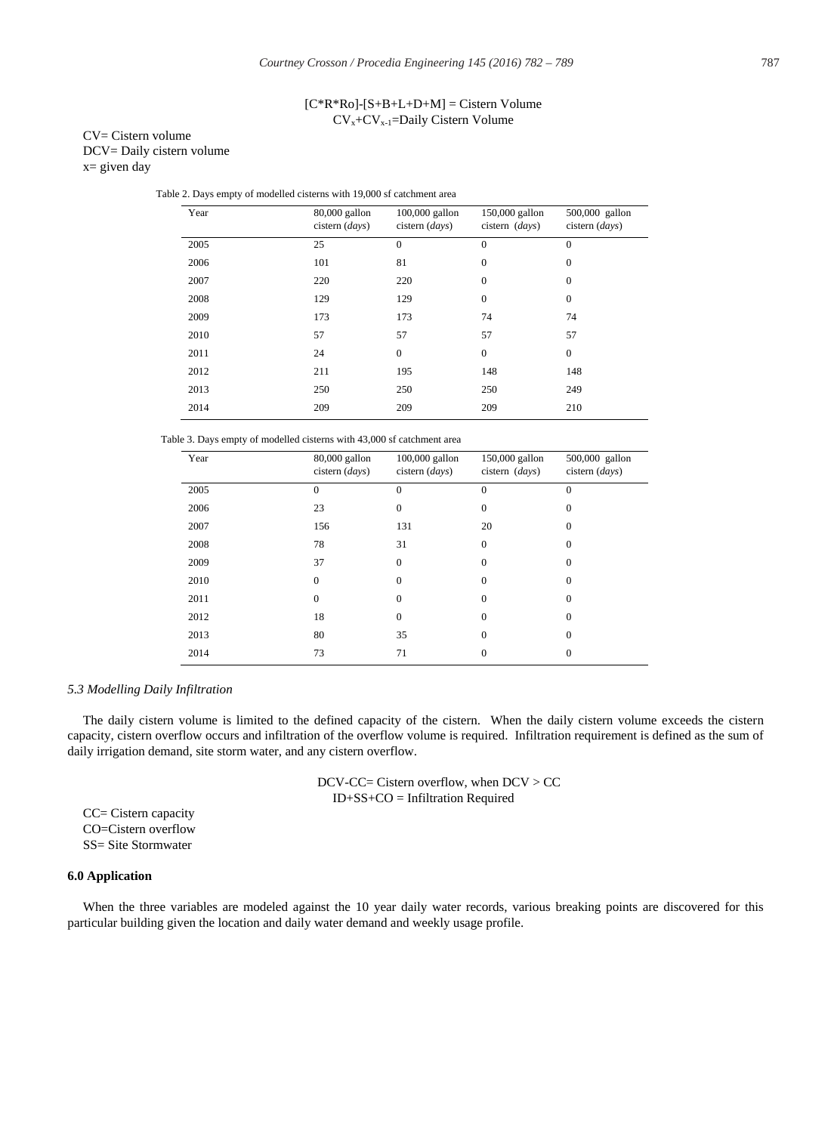$[C^*R^*Ro]$ - $[S+B+L+D+M]$  = Cistern Volume CVx+CVx-1=Daily Cistern Volume

## CV= Cistern volume DCV= Daily cistern volume  $x=$  given day

Table 2. Days empty of modelled cisterns with 19,000 sf catchment area

| Year | 80,000 gallon<br>cistern (days) | $100,000$ gallon<br>cistern (days) | 150,000 gallon<br>cistern (days) | 500,000 gallon<br>cistern (days) |
|------|---------------------------------|------------------------------------|----------------------------------|----------------------------------|
| 2005 | 25                              | $\Omega$                           | $\Omega$                         | $\theta$                         |
| 2006 | 101                             | 81                                 | $\overline{0}$                   | $\overline{0}$                   |
| 2007 | 220                             | 220                                | $\mathbf{0}$                     | $\mathbf{0}$                     |
| 2008 | 129                             | 129                                | $\mathbf{0}$                     | $\boldsymbol{0}$                 |
| 2009 | 173                             | 173                                | 74                               | 74                               |
| 2010 | 57                              | 57                                 | 57                               | 57                               |
| 2011 | 24                              | $\mathbf{0}$                       | $\overline{0}$                   | $\mathbf{0}$                     |
| 2012 | 211                             | 195                                | 148                              | 148                              |
| 2013 | 250                             | 250                                | 250                              | 249                              |
| 2014 | 209                             | 209                                | 209                              | 210                              |

Table 3. Days empty of modelled cisterns with 43,000 sf catchment area

| Year | 80,000 gallon<br>cistern (days) | $100,000$ gallon<br>cistern (days) | $150,000$ gallon<br>cistern $\left( \frac{days}{} \right)$ | 500,000 gallon<br>cistern (days) |
|------|---------------------------------|------------------------------------|------------------------------------------------------------|----------------------------------|
| 2005 | $\Omega$                        | $\Omega$                           | $\Omega$                                                   | $\Omega$                         |
| 2006 | 23                              | $\mathbf{0}$                       | $\Omega$                                                   | $\Omega$                         |
| 2007 | 156                             | 131                                | 20                                                         | $\Omega$                         |
| 2008 | 78                              | 31                                 | $\Omega$                                                   | 0                                |
| 2009 | 37                              | $\mathbf{0}$                       | $\Omega$                                                   | $\Omega$                         |
| 2010 | $\Omega$                        | $\Omega$                           | $\Omega$                                                   | $\Omega$                         |
| 2011 | $\Omega$                        | $\Omega$                           | $\Omega$                                                   | $\Omega$                         |
| 2012 | 18                              | $\Omega$                           | $\Omega$                                                   | $\Omega$                         |
| 2013 | 80                              | 35                                 | $\Omega$                                                   | $\Omega$                         |
| 2014 | 73                              | 71                                 | $\theta$                                                   | $\theta$                         |

# *5.3 Modelling Daily Infiltration*

The daily cistern volume is limited to the defined capacity of the cistern. When the daily cistern volume exceeds the cistern capacity, cistern overflow occurs and infiltration of the overflow volume is required. Infiltration requirement is defined as the sum of daily irrigation demand, site storm water, and any cistern overflow.

> DCV-CC= Cistern overflow, when DCV > CC ID+SS+CO = Infiltration Required

CC= Cistern capacity CO=Cistern overflow SS= Site Stormwater

### **6.0 Application**

When the three variables are modeled against the 10 year daily water records, various breaking points are discovered for this particular building given the location and daily water demand and weekly usage profile.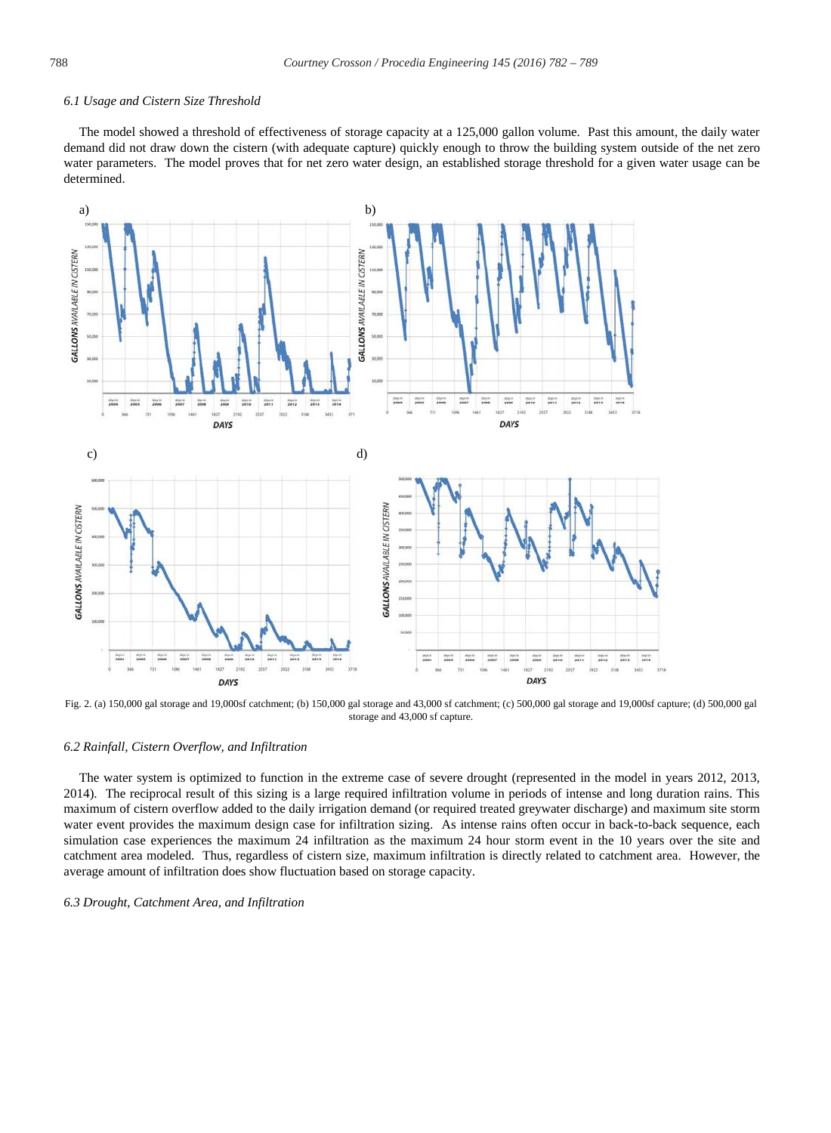#### *6.1 Usage and Cistern Size Threshold*

The model showed a threshold of effectiveness of storage capacity at a 125,000 gallon volume. Past this amount, the daily water demand did not draw down the cistern (with adequate capture) quickly enough to throw the building system outside of the net zero water parameters. The model proves that for net zero water design, an established storage threshold for a given water usage can be determined.



Fig. 2. (a) 150,000 gal storage and 19,000sf catchment; (b) 150,000 gal storage and 43,000 sf catchment; (c) 500,000 gal storage and 19,000sf capture; (d) 500,000 gal storage and 43,000 sf capture.

#### *6.2 Rainfall, Cistern Overflow, and Infiltration*

The water system is optimized to function in the extreme case of severe drought (represented in the model in years 2012, 2013, 2014). The reciprocal result of this sizing is a large required infiltration volume in periods of intense and long duration rains. This maximum of cistern overflow added to the daily irrigation demand (or required treated greywater discharge) and maximum site storm water event provides the maximum design case for infiltration sizing. As intense rains often occur in back-to-back sequence, each simulation case experiences the maximum 24 infiltration as the maximum 24 hour storm event in the 10 years over the site and catchment area modeled. Thus, regardless of cistern size, maximum infiltration is directly related to catchment area. However, the average amount of infiltration does show fluctuation based on storage capacity.

#### *6.3 Drought, Catchment Area, and Infiltration*